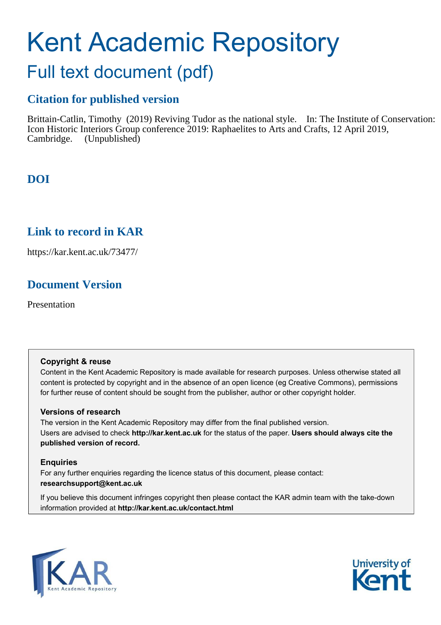# Kent Academic Repository

## Full text document (pdf)

### **Citation for published version**

Brittain-Catlin, Timothy (2019) Reviving Tudor as the national style. In: The Institute of Conservation: Icon Historic Interiors Group conference 2019: Raphaelites to Arts and Crafts, 12 April 2019, Cambridge. (Unpublished)

## **DOI**

## **Link to record in KAR**

https://kar.kent.ac.uk/73477/

## **Document Version**

Presentation

#### **Copyright & reuse**

Content in the Kent Academic Repository is made available for research purposes. Unless otherwise stated all content is protected by copyright and in the absence of an open licence (eg Creative Commons), permissions for further reuse of content should be sought from the publisher, author or other copyright holder.

#### **Versions of research**

The version in the Kent Academic Repository may differ from the final published version. Users are advised to check **http://kar.kent.ac.uk** for the status of the paper. **Users should always cite the published version of record.**

#### **Enquiries**

For any further enquiries regarding the licence status of this document, please contact: **researchsupport@kent.ac.uk**

If you believe this document infringes copyright then please contact the KAR admin team with the take-down information provided at **http://kar.kent.ac.uk/contact.html**



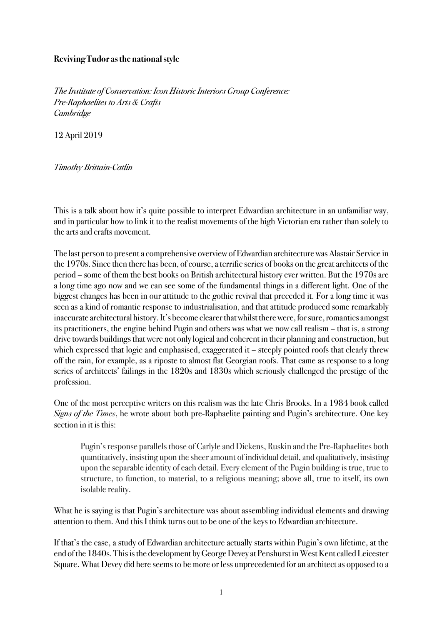#### **Reviving Tudor as the national style**

The Institute of Conservation: Icon Historic Interiors Group Conference: Pre-Raphaelites to Arts & Crafts Cambridge

12 April 2019

Timothy Brittain-Catlin

This is a talk about how it's quite possible to interpret Edwardian architecture in an unfamiliar way, and in particular how to link it to the realist movements of the high Victorian era rather than solely to the arts and crafts movement.

The last person to present a comprehensive overview of Edwardian architecture was Alastair Service in the 1970s. Since then there has been, of course, a terrific series of books on the great architects of the period – some of them the best books on British architectural history ever written. But the 1970s are a long time ago now and we can see some of the fundamental things in a different light. One of the biggest changes has been in our attitude to the gothic revival that preceded it. For a long time it was seen as a kind of romantic response to industrialisation, and that attitude produced some remarkably inaccurate architectural history. It's become clearer that whilst there were, for sure, romantics amongst its practitioners, the engine behind Pugin and others was what we now call realism – that is, a strong drive towards buildings that were not only logical and coherent in their planning and construction, but which expressed that logic and emphasised, exaggerated it – steeply pointed roofs that clearly threw off the rain, for example, as a riposte to almost flat Georgian roofs. That came as response to a long series of architects' failings in the 1820s and 1830s which seriously challenged the prestige of the profession.

One of the most perceptive writers on this realism was the late Chris Brooks. In a 1984 book called Signs of the Times, he wrote about both pre-Raphaelite painting and Pugin's architecture. One key section in it is this:

Pugin's response parallels those of Carlyle and Dickens, Ruskin and the Pre-Raphaelites both quantitatively, insisting upon the sheer amount of individual detail, and qualitatively, insisting upon the separable identity of each detail. Every element of the Pugin building is true, true to structure, to function, to material, to a religious meaning; above all, true to itself, its own isolable reality.

What he is saying is that Pugin's architecture was about assembling individual elements and drawing attention to them. And this I think turns out to be one of the keys to Edwardian architecture.

If that's the case, a study of Edwardian architecture actually starts within Pugin's own lifetime, at the end of the 1840s. This is the development by George Devey at Penshurst in West Kent called Leicester Square. What Devey did here seems to be more or less unprecedented for an architect as opposed to a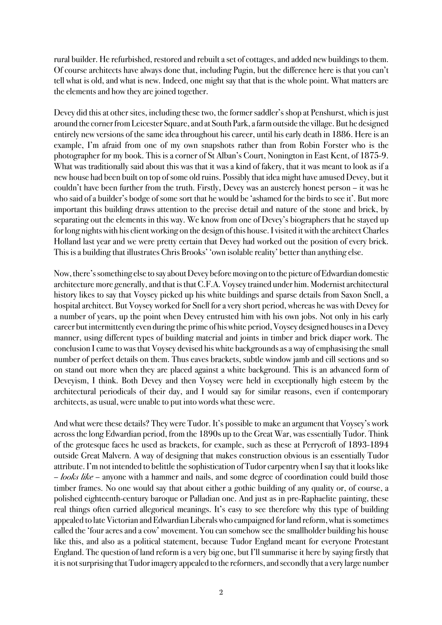rural builder. He refurbished, restored and rebuilt a set of cottages, and added new buildings to them. Of course architects have always done that, including Pugin, but the difference here is that you can't tell what is old, and what is new. Indeed, one might say that that is the whole point. What matters are the elements and how they are joined together.

Devey did this at other sites, including these two, the former saddler's shop at Penshurst, which is just around the corner from Leicester Square, and at South Park, a farm outside the village. But he designed entirely new versions of the same idea throughout his career, until his early death in 1886. Here is an example, I'm afraid from one of my own snapshots rather than from Robin Forster who is the photographer for my book. This is a corner of St Alban's Court, Nonington in East Kent, of 1875-9. What was traditionally said about this was that it was a kind of fakery, that it was meant to look as if a new house had been built on top of some old ruins. Possibly that idea might have amused Devey, but it couldn't have been further from the truth. Firstly, Devey was an austerely honest person – it was he who said of a builder's bodge of some sort that he would be 'ashamed for the birds to see it'. But more important this building draws attention to the precise detail and nature of the stone and brick, by separating out the elements in this way. We know from one of Devey's biographers that he stayed up for long nights with his client working on the design of this house. I visited it with the architect Charles Holland last year and we were pretty certain that Devey had worked out the position of every brick. This is a building that illustrates Chris Brooks' 'own isolable reality' better than anything else.

Now, there's something else to say about Devey before moving on to the picture of Edwardian domestic architecture more generally, and that is that C.F.A. Voysey trained under him. Modernist architectural history likes to say that Voysey picked up his white buildings and sparse details from Saxon Snell, a hospital architect. But Voysey worked for Snell for a very short period, whereas he was with Devey for a number of years, up the point when Devey entrusted him with his own jobs. Not only in his early career but intermittently even during the prime of his white period, Voysey designed houses in a Devey manner, using different types of building material and joints in timber and brick diaper work. The conclusion I came to was that Voysey devised his white backgrounds as a way of emphasising the small number of perfect details on them. Thus eaves brackets, subtle window jamb and cill sections and so on stand out more when they are placed against a white background. This is an advanced form of Deveyism, I think. Both Devey and then Voysey were held in exceptionally high esteem by the architectural periodicals of their day, and I would say for similar reasons, even if contemporary architects, as usual, were unable to put into words what these were.

And what were these details? They were Tudor. It's possible to make an argument that Voysey's work across the long Edwardian period, from the 1890s up to the Great War, was essentially Tudor. Think of the grotesque faces he used as brackets, for example, such as these at Perrycroft of 1893-1894 outside Great Malvern. A way of designing that makes construction obvious is an essentially Tudor attribute. I'm not intended to belittle the sophistication of Tudor carpentry when I say that it looks like – looks like – anyone with a hammer and nails, and some degree of coordination could build those timber frames. No one would say that about either a gothic building of any quality or, of course, a polished eighteenth-century baroque or Palladian one. And just as in pre-Raphaelite painting, these real things often carried allegorical meanings. It's easy to see therefore why this type of building appealed to late Victorian and Edwardian Liberals who campaigned for land reform, what is sometimes called the 'four acres and a cow' movement. You can somehow see the smallholder building his house like this, and also as a political statement, because Tudor England meant for everyone Protestant England. The question of land reform is a very big one, but I'll summarise it here by saying firstly that it is not surprising that Tudor imagery appealed to the reformers, and secondly that a very large number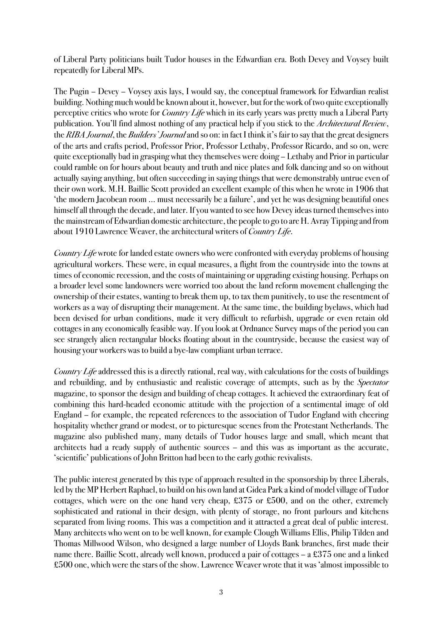of Liberal Party politicians built Tudor houses in the Edwardian era. Both Devey and Voysey built repeatedly for Liberal MPs.

The Pugin – Devey – Voysey axis lays, I would say, the conceptual framework for Edwardian realist building. Nothing much would be known about it, however, but for the work of two quite exceptionally perceptive critics who wrote for *Country Life* which in its early years was pretty much a Liberal Party publication. You'll find almost nothing of any practical help if you stick to the Architectural Review, the *RIBA Journal*, the *Builders' Journal* and so on: in fact I think it's fair to say that the great designers of the arts and crafts period, Professor Prior, Professor Lethaby, Professor Ricardo, and so on, were quite exceptionally bad in grasping what they themselves were doing – Lethaby and Prior in particular could ramble on for hours about beauty and truth and nice plates and folk dancing and so on without actually saying anything, but often succeeding in saying things that were demonstrably untrue even of their own work. M.H. Baillie Scott provided an excellent example of this when he wrote in 1906 that 'the modern Jacobean room … must necessarily be a failure', and yet he was designing beautiful ones himself all through the decade, and later. If you wanted to see how Devey ideas turned themselves into the mainstream of Edwardian domestic architecture, the people to go to are H. Avray Tipping and from about 1910 Lawrence Weaver, the architectural writers of *Country Life*.

Country Life wrote for landed estate owners who were confronted with everyday problems of housing agricultural workers. These were, in equal measures, a flight from the countryside into the towns at times of economic recession, and the costs of maintaining or upgrading existing housing. Perhaps on a broader level some landowners were worried too about the land reform movement challenging the ownership of their estates, wanting to break them up, to tax them punitively, to use the resentment of workers as a way of disrupting their management. At the same time, the building byelaws, which had been devised for urban conditions, made it very difficult to refurbish, upgrade or even retain old cottages in any economically feasible way. If you look at Ordnance Survey maps of the period you can see strangely alien rectangular blocks floating about in the countryside, because the easiest way of housing your workers was to build a bye-law compliant urban terrace.

Country Life addressed this is a directly rational, real way, with calculations for the costs of buildings and rebuilding, and by enthusiastic and realistic coverage of attempts, such as by the Spectator magazine, to sponsor the design and building of cheap cottages. It achieved the extraordinary feat of combining this hard-headed economic attitude with the projection of a sentimental image of old England – for example, the repeated references to the association of Tudor England with cheering hospitality whether grand or modest, or to picturesque scenes from the Protestant Netherlands. The magazine also published many, many details of Tudor houses large and small, which meant that architects had a ready supply of authentic sources – and this was as important as the accurate, 'scientific' publications of John Britton had been to the early gothic revivalists.

The public interest generated by this type of approach resulted in the sponsorship by three Liberals, led by the MP Herbert Raphael, to build on his own land at Gidea Park a kind of model village of Tudor cottages, which were on the one hand very cheap, £375 or £500, and on the other, extremely sophisticated and rational in their design, with plenty of storage, no front parlours and kitchens separated from living rooms. This was a competition and it attracted a great deal of public interest. Many architects who went on to be well known, for example Clough Williams Ellis, Philip Tilden and Thomas Millwood Wilson, who designed a large number of Lloyds Bank branches, first made their name there. Baillie Scott, already well known, produced a pair of cottages – a £375 one and a linked £500 one, which were the stars of the show. Lawrence Weaver wrote that it was 'almost impossible to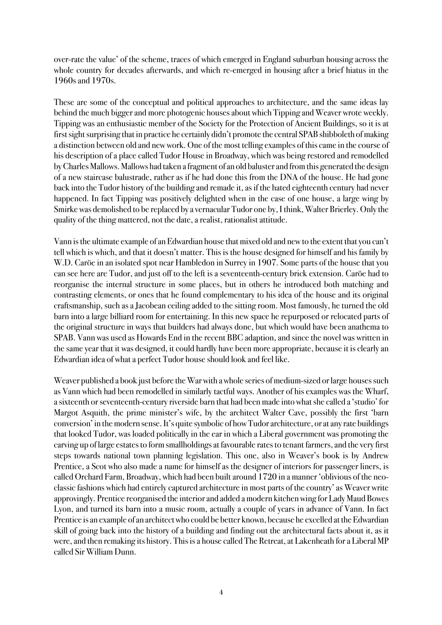over-rate the value' of the scheme, traces of which emerged in England suburban housing across the whole country for decades afterwards, and which re-emerged in housing after a brief hiatus in the 1960s and 1970s.

These are some of the conceptual and political approaches to architecture, and the same ideas lay behind the much bigger and more photogenic houses about which Tipping and Weaver wrote weekly. Tipping was an enthusiastic member of the Society for the Protection of Ancient Buildings, so it is at first sight surprising that in practice he certainly didn't promote the central SPAB shibboleth of making a distinction between old and new work. One of the most telling examples of this came in the course of his description of a place called Tudor House in Broadway, which was being restored and remodelled by Charles Mallows. Mallows had taken a fragment of an old baluster and from this generated the design of a new staircase balustrade, rather as if he had done this from the DNA of the house. He had gone back into the Tudor history of the building and remade it, as if the hated eighteenth century had never happened. In fact Tipping was positively delighted when in the case of one house, a large wing by Smirke was demolished to be replaced by a vernacular Tudor one by, I think, Walter Brierley. Only the quality of the thing mattered, not the date, a realist, rationalist attitude.

Vann is the ultimate example of an Edwardian house that mixed old and new to the extent that you can't tell which is which, and that it doesn't matter. This is the house designed for himself and his family by W.D. Caröe in an isolated spot near Hambledon in Surrey in 1907. Some parts of the house that you can see here are Tudor, and just off to the left is a seventeenth-century brick extension. Caröe had to reorganise the internal structure in some places, but in others he introduced both matching and contrasting elements, or ones that he found complementary to his idea of the house and its original craftsmanship, such as a Jacobean ceiling added to the sitting room. Most famously, he turned the old barn into a large billiard room for entertaining. In this new space he repurposed or relocated parts of the original structure in ways that builders had always done, but which would have been anathema to SPAB. Vann was used as Howards End in the recent BBC adaption, and since the novel was written in the same year that it was designed, it could hardly have been more appropriate, because it is clearly an Edwardian idea of what a perfect Tudor house should look and feel like.

Weaver published a book just before the War with a whole series of medium-sized or large houses such as Vann which had been remodelled in similarly tactful ways. Another of his examples was the Wharf, a sixteenth or seventeenth-century riverside barn that had been made into what she called a 'studio' for Margot Asquith, the prime minister's wife, by the architect Walter Cave, possibly the first 'barn conversion' in the modern sense. It's quite symbolic of how Tudor architecture, or at any rate buildings that looked Tudor, was loaded politically in the ear in which a Liberal government was promoting the carving up of large estates to form smallholdings at favourable rates to tenant farmers, and the very first steps towards national town planning legislation. This one, also in Weaver's book is by Andrew Prentice, a Scot who also made a name for himself as the designer of interiors for passenger liners, is called Orchard Farm, Broadway, which had been built around 1720 in a manner 'oblivious of the neoclassic fashions which had entirely captured architecture in most parts of the country' as Weaver write approvingly. Prentice reorganised the interior and added a modern kitchen wing for Lady Maud Bowes Lyon, and turned its barn into a music room, actually a couple of years in advance of Vann. In fact Prentice is an example of an architect who could be better known, because he excelled at the Edwardian skill of going back into the history of a building and finding out the architectural facts about it, as it were, and then remaking its history. This is a house called The Retreat, at Lakenheath for a Liberal MP called Sir William Dunn.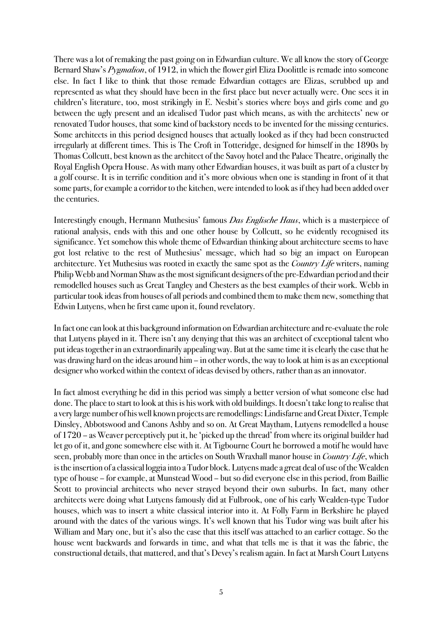There was a lot of remaking the past going on in Edwardian culture. We all know the story of George Bernard Shaw's *Pygmalion*, of 1912, in which the flower girl Eliza Doolittle is remade into someone else. In fact I like to think that those remade Edwardian cottages are Elizas, scrubbed up and represented as what they should have been in the first place but never actually were. One sees it in children's literature, too, most strikingly in E. Nesbit's stories where boys and girls come and go between the ugly present and an idealised Tudor past which means, as with the architects' new or renovated Tudor houses, that some kind of backstory needs to be invented for the missing centuries. Some architects in this period designed houses that actually looked as if they had been constructed irregularly at different times. This is The Croft in Totteridge, designed for himself in the 1890s by Thomas Collcutt, best known as the architect of the Savoy hotel and the Palace Theatre, originally the Royal English Opera House. As with many other Edwardian houses, it was built as part of a cluster by a golf course. It is in terrific condition and it's more obvious when one is standing in front of it that some parts, for example a corridor to the kitchen, were intended to look as if they had been added over the centuries.

Interestingly enough, Hermann Muthesius' famous *Das Englische Haus*, which is a masterpiece of rational analysis, ends with this and one other house by Collcutt, so he evidently recognised its significance. Yet somehow this whole theme of Edwardian thinking about architecture seems to have got lost relative to the rest of Muthesius' message, which had so big an impact on European architecture. Yet Muthesius was rooted in exactly the same spot as the *Country Life* writers, naming Philip Webb and Norman Shaw as the most significant designers of the pre-Edwardian period and their remodelled houses such as Great Tangley and Chesters as the best examples of their work. Webb in particular took ideas from houses of all periods and combined them to make them new, something that Edwin Lutyens, when he first came upon it, found revelatory.

In fact one can look at this background information on Edwardian architecture and re-evaluate the role that Lutyens played in it. There isn't any denying that this was an architect of exceptional talent who put ideas together in an extraordinarily appealing way. But at the same time it is clearly the case that he was drawing hard on the ideas around him – in other words, the way to look at him is as an exceptional designer who worked within the context of ideas devised by others, rather than as an innovator.

In fact almost everything he did in this period was simply a better version of what someone else had done. The place to start to look at this is his work with old buildings. It doesn't take long to realise that avery large number of his well known projectsare remodellings: Lindisfarne and Great Dixter, Temple Dinsley, Abbotswood and Canons Ashby and so on. At Great Maytham, Lutyens remodelled a house of 1720 – as Weaver perceptively put it, he 'picked up the thread' from where its original builder had let go of it, and gone somewhere else with it. At Tigbourne Court he borrowed a motif he would have seen, probably more than once in the articles on South Wraxhall manor house in Country Life, which is the insertion of a classical loggia into a Tudor block. Lutyens made a great deal of use of the Wealden type of house – for example, at Munstead Wood – but so did everyone else in this period, from Baillie Scott to provincial architects who never strayed beyond their own suburbs. In fact, many other architects were doing what Lutyens famously did at Fulbrook, one of his early Wealden-type Tudor houses, which was to insert a white classical interior into it. At Folly Farm in Berkshire he played around with the dates of the various wings. It's well known that his Tudor wing was built after his William and Mary one, but it's also the case that this itself was attached to an earlier cottage. So the house went backwards and forwards in time, and what that tells me is that it was the fabric, the constructional details, that mattered, and that's Devey's realism again. In fact at Marsh Court Lutyens